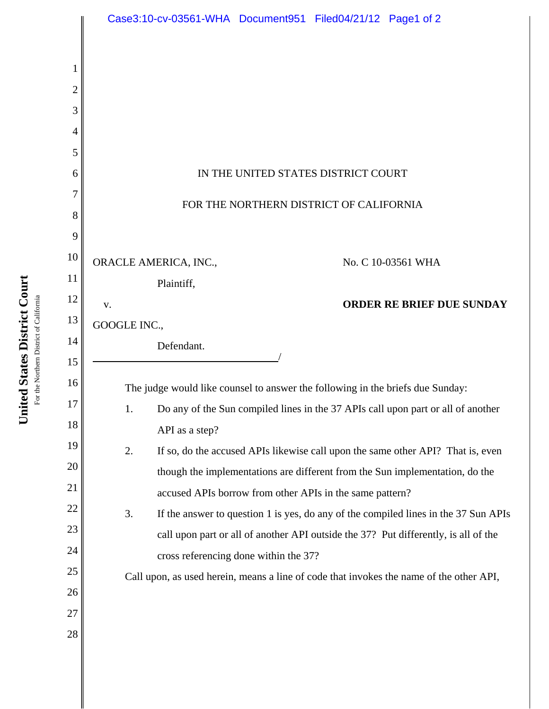|          | Case3:10-cv-03561-WHA Document951 Filed04/21/12 Page1 of 2                                                                                            |
|----------|-------------------------------------------------------------------------------------------------------------------------------------------------------|
|          |                                                                                                                                                       |
| 2        |                                                                                                                                                       |
| 3        |                                                                                                                                                       |
| 4        |                                                                                                                                                       |
| 5        |                                                                                                                                                       |
| 6        | IN THE UNITED STATES DISTRICT COURT                                                                                                                   |
| 7        |                                                                                                                                                       |
| 8        | FOR THE NORTHERN DISTRICT OF CALIFORNIA                                                                                                               |
| 9        |                                                                                                                                                       |
| 10       | ORACLE AMERICA, INC.,<br>No. C 10-03561 WHA                                                                                                           |
| 11       | Plaintiff,                                                                                                                                            |
| 12       | <b>ORDER RE BRIEF DUE SUNDAY</b><br>v.                                                                                                                |
| 13       | GOOGLE INC.,                                                                                                                                          |
| 14       | Defendant.                                                                                                                                            |
| 15       |                                                                                                                                                       |
| 16<br>17 | The judge would like counsel to answer the following in the briefs due Sunday:                                                                        |
| 18       | Do any of the Sun compiled lines in the 37 APIs call upon part or all of another<br>1.                                                                |
| 19       | API as a step?                                                                                                                                        |
| 20       | 2.<br>If so, do the accused APIs likewise call upon the same other API? That is, even                                                                 |
| 21       | though the implementations are different from the Sun implementation, do the                                                                          |
| 22       | accused APIs borrow from other APIs in the same pattern?<br>3.<br>If the answer to question 1 is yes, do any of the compiled lines in the 37 Sun APIs |
| 23       | call upon part or all of another API outside the 37? Put differently, is all of the                                                                   |
| 24       | cross referencing done within the 37?                                                                                                                 |
| 25       | Call upon, as used herein, means a line of code that invokes the name of the other API,                                                               |
| 26       |                                                                                                                                                       |
| 27       |                                                                                                                                                       |
| 28       |                                                                                                                                                       |
|          |                                                                                                                                                       |